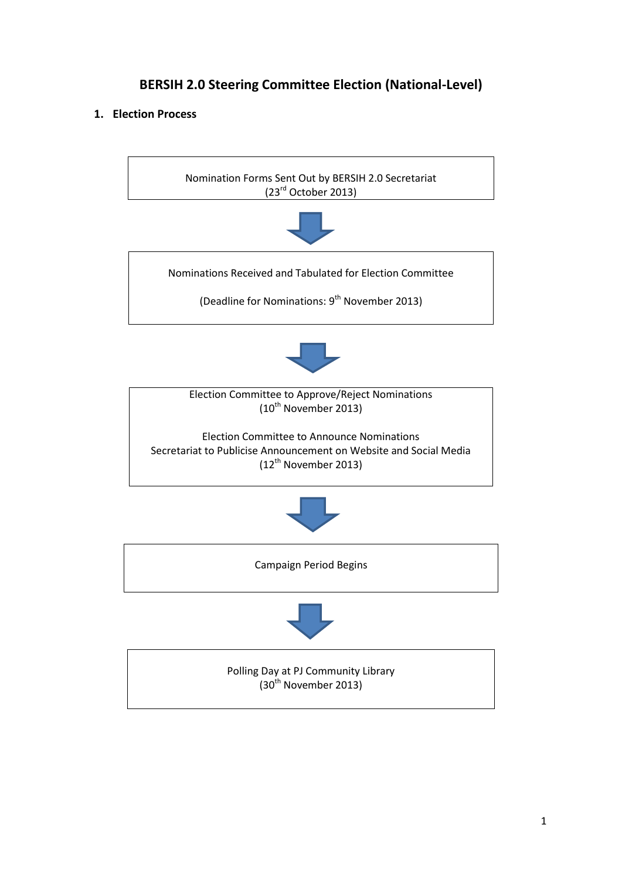# **BERSIH 2.0 Steering Committee Election (National-Level)**

## **1. Election Process**

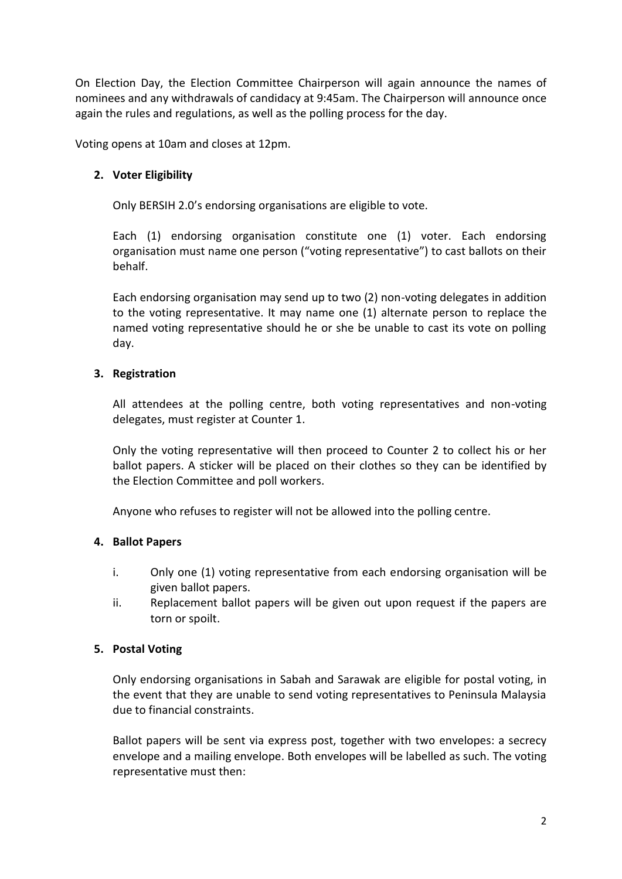On Election Day, the Election Committee Chairperson will again announce the names of nominees and any withdrawals of candidacy at 9:45am. The Chairperson will announce once again the rules and regulations, as well as the polling process for the day.

Voting opens at 10am and closes at 12pm.

# **2. Voter Eligibility**

Only BERSIH 2.0's endorsing organisations are eligible to vote.

Each (1) endorsing organisation constitute one (1) voter. Each endorsing organisation must name one person ("voting representative") to cast ballots on their behalf.

Each endorsing organisation may send up to two (2) non-voting delegates in addition to the voting representative. It may name one (1) alternate person to replace the named voting representative should he or she be unable to cast its vote on polling day.

## **3. Registration**

All attendees at the polling centre, both voting representatives and non-voting delegates, must register at Counter 1.

Only the voting representative will then proceed to Counter 2 to collect his or her ballot papers. A sticker will be placed on their clothes so they can be identified by the Election Committee and poll workers.

Anyone who refuses to register will not be allowed into the polling centre.

## **4. Ballot Papers**

- i. Only one (1) voting representative from each endorsing organisation will be given ballot papers.
- ii. Replacement ballot papers will be given out upon request if the papers are torn or spoilt.

## **5. Postal Voting**

Only endorsing organisations in Sabah and Sarawak are eligible for postal voting, in the event that they are unable to send voting representatives to Peninsula Malaysia due to financial constraints.

Ballot papers will be sent via express post, together with two envelopes: a secrecy envelope and a mailing envelope. Both envelopes will be labelled as such. The voting representative must then: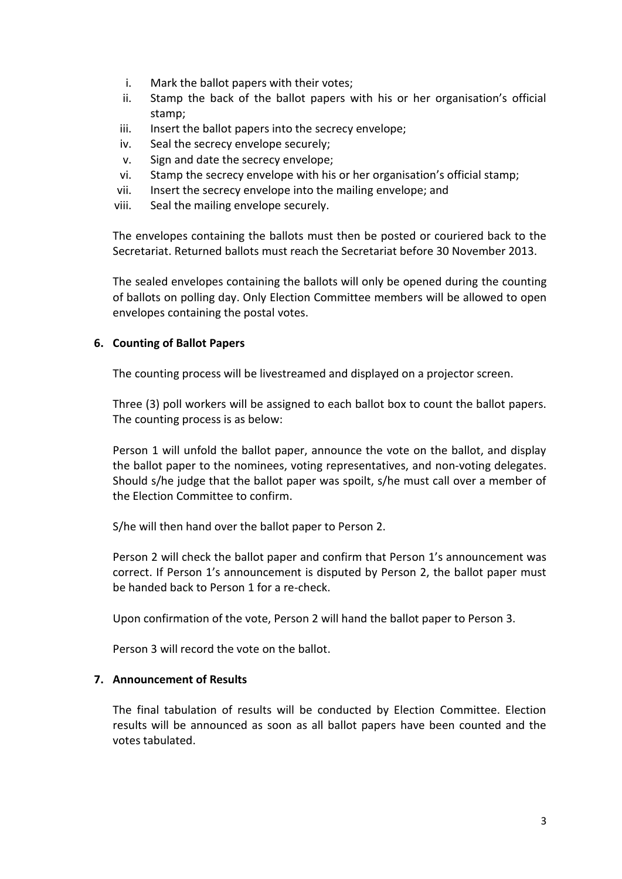- i. Mark the ballot papers with their votes;
- ii. Stamp the back of the ballot papers with his or her organisation's official stamp;
- iii. Insert the ballot papers into the secrecy envelope;
- iv. Seal the secrecy envelope securely;
- v. Sign and date the secrecy envelope;
- vi. Stamp the secrecy envelope with his or her organisation's official stamp;
- vii. Insert the secrecy envelope into the mailing envelope; and
- viii. Seal the mailing envelope securely.

The envelopes containing the ballots must then be posted or couriered back to the Secretariat. Returned ballots must reach the Secretariat before 30 November 2013.

The sealed envelopes containing the ballots will only be opened during the counting of ballots on polling day. Only Election Committee members will be allowed to open envelopes containing the postal votes.

#### **6. Counting of Ballot Papers**

The counting process will be livestreamed and displayed on a projector screen.

Three (3) poll workers will be assigned to each ballot box to count the ballot papers. The counting process is as below:

Person 1 will unfold the ballot paper, announce the vote on the ballot, and display the ballot paper to the nominees, voting representatives, and non-voting delegates. Should s/he judge that the ballot paper was spoilt, s/he must call over a member of the Election Committee to confirm.

S/he will then hand over the ballot paper to Person 2.

Person 2 will check the ballot paper and confirm that Person 1's announcement was correct. If Person 1's announcement is disputed by Person 2, the ballot paper must be handed back to Person 1 for a re-check.

Upon confirmation of the vote, Person 2 will hand the ballot paper to Person 3.

Person 3 will record the vote on the ballot.

#### **7. Announcement of Results**

The final tabulation of results will be conducted by Election Committee. Election results will be announced as soon as all ballot papers have been counted and the votes tabulated.